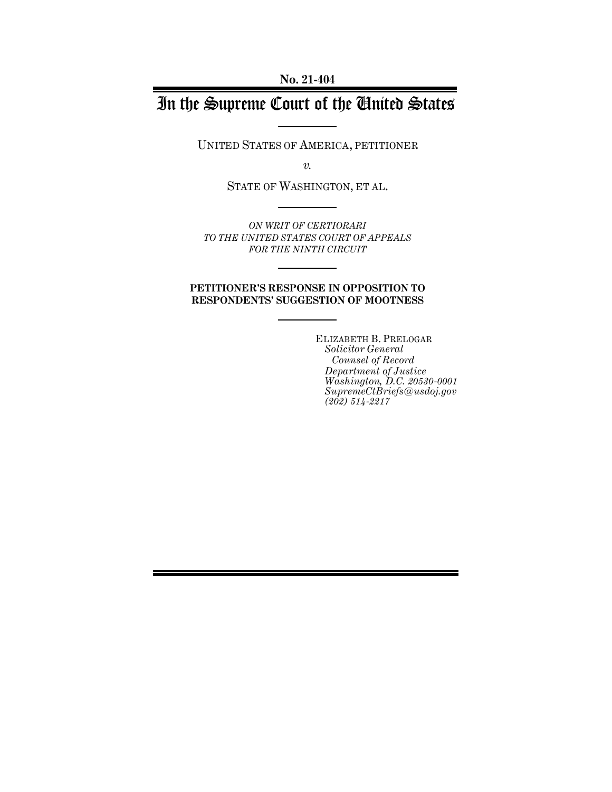**No. 21-404**

# In the Supreme Court of the United States

UNITED STATES OF AMERICA, PETITIONER

*v.*

STATE OF WASHINGTON, ET AL.

*ON WRIT OF CERTIORARI TO THE UNITED STATES COURT OF APPEALS FOR THE NINTH CIRCUIT*

#### **PETITIONER'S RESPONSE IN OPPOSITION TO RESPONDENTS' SUGGESTION OF MOOTNESS**

ELIZABETH B. PRELOGAR *Solicitor General Counsel of Record Department of Justice Washington, D.C. 20530-0001 SupremeCtBriefs@usdoj.gov (202) 514-2217*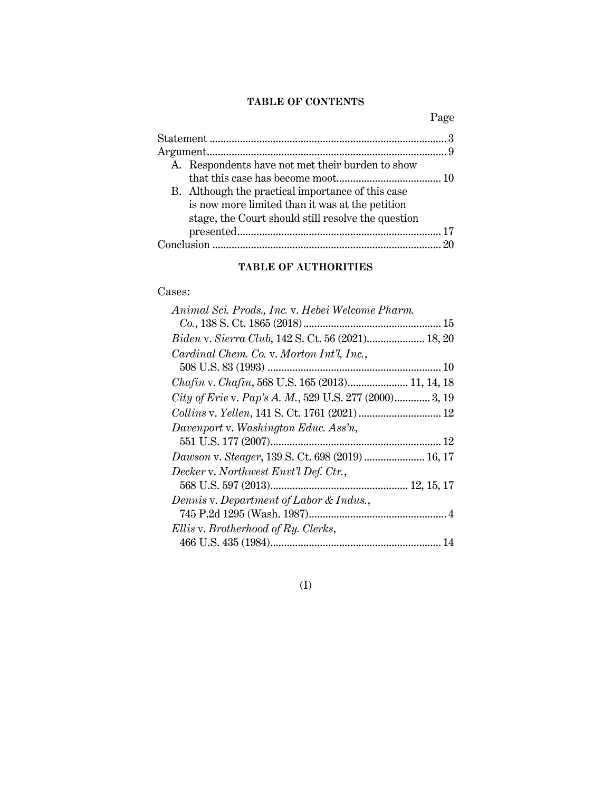## **TABLE OF CONTENTS**

Page

| A. Respondents have not met their burden to show   |  |
|----------------------------------------------------|--|
|                                                    |  |
| B. Although the practical importance of this case  |  |
| is now more limited than it was at the petition    |  |
| stage, the Court should still resolve the question |  |
|                                                    |  |
|                                                    |  |

## **TABLE OF AUTHORITIES**

## Cases:

| Animal Sci. Prods., Inc. v. Hebei Welcome Pharm.       |  |
|--------------------------------------------------------|--|
|                                                        |  |
| Biden v. Sierra Club, 142 S. Ct. 56 (2021) 18, 20      |  |
| Cardinal Chem. Co. v. Morton Int'l, Inc.,              |  |
|                                                        |  |
| Chafin v. Chafin, 568 U.S. 165 (2013) 11, 14, 18       |  |
| City of Erie v. Pap's A. M., 529 U.S. 277 (2000) 3, 19 |  |
|                                                        |  |
| Davenport v. Washington Educ. Ass'n,                   |  |
|                                                        |  |
| Dawson v. Steager, 139 S. Ct. 698 (2019)  16, 17       |  |
| Decker v. Northwest Envt'l Def. Ctr.,                  |  |
|                                                        |  |
| Dennis v. Department of Labor & Indus.,                |  |
|                                                        |  |
| Ellis v. Brotherhood of Ry. Clerks,                    |  |
|                                                        |  |
|                                                        |  |

## (I)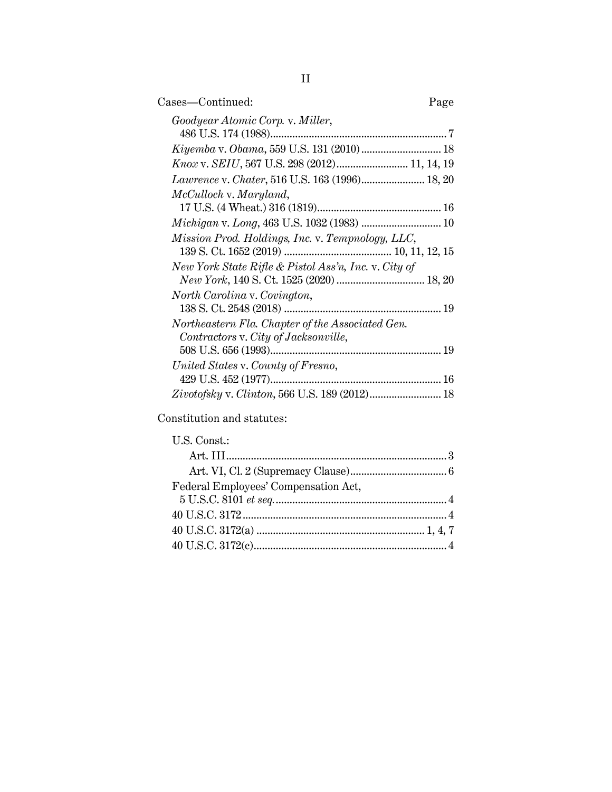| Cases-Continued:<br>Page                                                                 |  |
|------------------------------------------------------------------------------------------|--|
| Goodyear Atomic Corp. v. Miller,                                                         |  |
|                                                                                          |  |
| Knox v. SEIU, 567 U.S. 298 (2012) 11, 14, 19                                             |  |
|                                                                                          |  |
| McCulloch v. Maryland,                                                                   |  |
|                                                                                          |  |
|                                                                                          |  |
| Mission Prod. Holdings, Inc. v. Tempnology, LLC,                                         |  |
| New York State Rifle & Pistol Ass'n, Inc. v. City of                                     |  |
| North Carolina v. Covington,                                                             |  |
| Northeastern Fla. Chapter of the Associated Gen.<br>Contractors v. City of Jacksonville, |  |
|                                                                                          |  |
| United States v. County of Fresno,                                                       |  |
|                                                                                          |  |
| Zivotofsky v. Clinton, 566 U.S. 189 (2012) 18                                            |  |

Constitution and statutes:

| Federal Employees' Compensation Act, |  |
|--------------------------------------|--|
|                                      |  |
|                                      |  |
|                                      |  |
|                                      |  |
|                                      |  |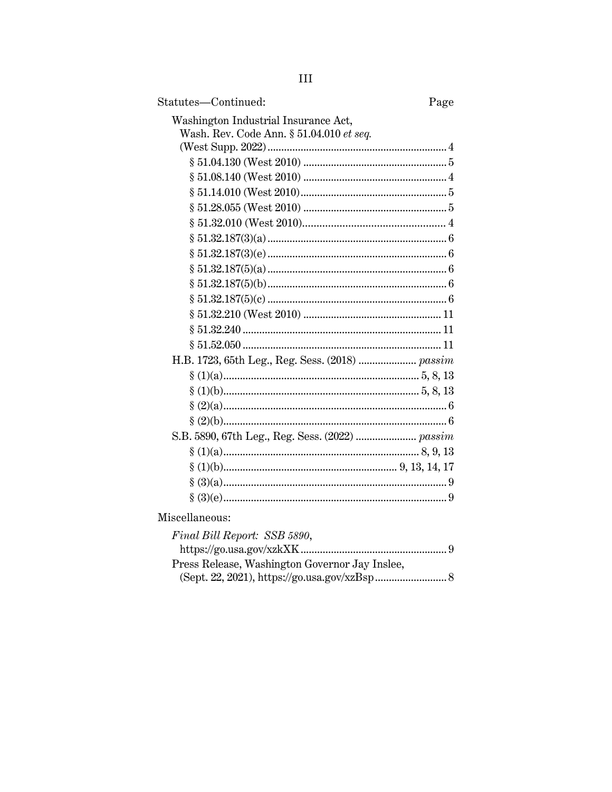| Statutes-Continued:<br>Page                     |
|-------------------------------------------------|
| Washington Industrial Insurance Act,            |
| Wash. Rev. Code Ann. § 51.04.010 et seq.        |
|                                                 |
|                                                 |
|                                                 |
|                                                 |
|                                                 |
|                                                 |
|                                                 |
|                                                 |
|                                                 |
|                                                 |
|                                                 |
|                                                 |
|                                                 |
|                                                 |
| H.B. 1723, 65th Leg., Reg. Sess. (2018)  passim |
|                                                 |
|                                                 |
|                                                 |
|                                                 |
| S.B. 5890, 67th Leg., Reg. Sess. (2022)  passim |
|                                                 |
|                                                 |
|                                                 |
|                                                 |

Miscellaneous:

| Final Bill Report: SSB 5890,                   |  |
|------------------------------------------------|--|
|                                                |  |
| Press Release, Washington Governor Jay Inslee, |  |
|                                                |  |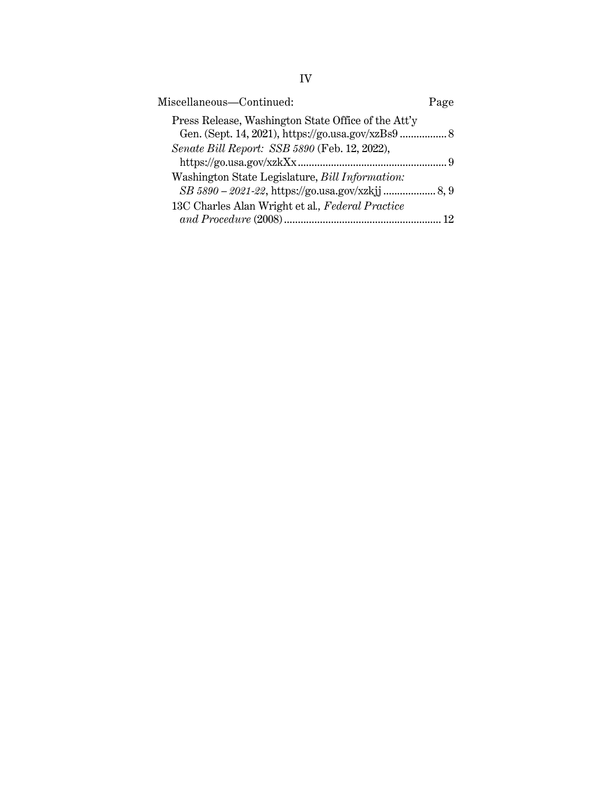| Miscellaneous-Continued:                                                                                 | Page |
|----------------------------------------------------------------------------------------------------------|------|
| Press Release, Washington State Office of the Att'y<br>Gen. (Sept. 14, 2021), https://go.usa.gov/xzBs9 8 |      |
| Senate Bill Report: SSB 5890 (Feb. 12, 2022),                                                            | - 9  |
| Washington State Legislature, Bill Information:                                                          |      |
| 13C Charles Alan Wright et al., Federal Practice<br>and Procedure (2008)                                 |      |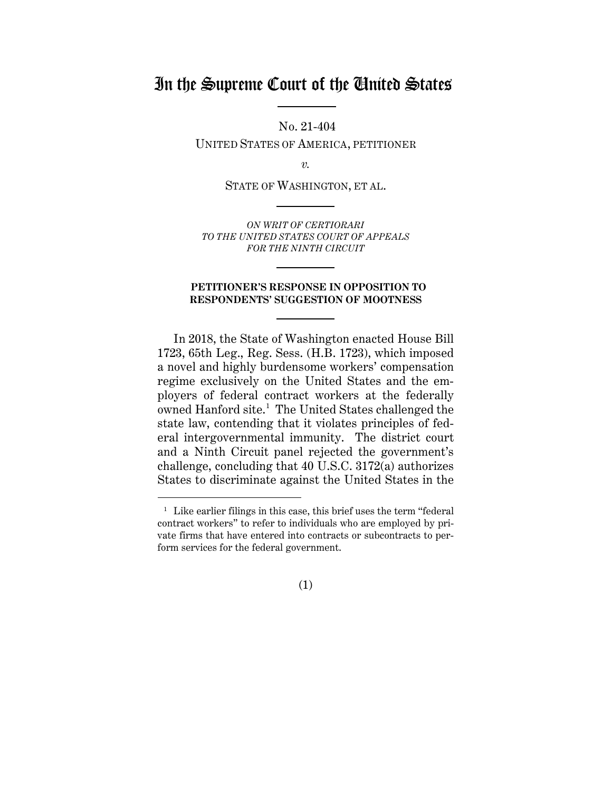## In the Supreme Court of the United States

No. 21-404

UNITED STATES OF AMERICA, PETITIONER

*v.*

STATE OF WASHINGTON, ET AL.

*ON WRIT OF CERTIORARI TO THE UNITED STATES COURT OF APPEALS FOR THE NINTH CIRCUIT*

#### **PETITIONER'S RESPONSE IN OPPOSITION TO RESPONDENTS' SUGGESTION OF MOOTNESS**

In 2018, the State of Washington enacted House Bill 1723, 65th Leg., Reg. Sess. (H.B. 1723), which imposed a novel and highly burdensome workers' compensation regime exclusively on the United States and the employers of federal contract workers at the federally owned Hanford site.<sup>1</sup> The United States challenged the state law, contending that it violates principles of federal intergovernmental immunity. The district court and a Ninth Circuit panel rejected the government's challenge, concluding that 40 U.S.C. 3172(a) authorizes States to discriminate against the United States in the

(1)

<sup>&</sup>lt;sup>1</sup> Like earlier filings in this case, this brief uses the term "federal contract workers" to refer to individuals who are employed by private firms that have entered into contracts or subcontracts to perform services for the federal government.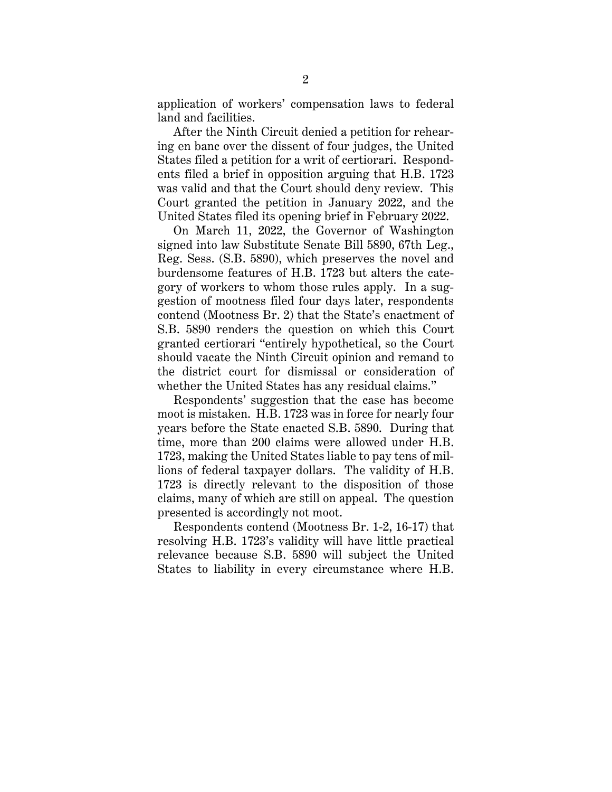application of workers' compensation laws to federal land and facilities.

After the Ninth Circuit denied a petition for rehearing en banc over the dissent of four judges, the United States filed a petition for a writ of certiorari. Respondents filed a brief in opposition arguing that H.B. 1723 was valid and that the Court should deny review. This Court granted the petition in January 2022, and the United States filed its opening brief in February 2022.

On March 11, 2022, the Governor of Washington signed into law Substitute Senate Bill 5890, 67th Leg., Reg. Sess. (S.B. 5890), which preserves the novel and burdensome features of H.B. 1723 but alters the category of workers to whom those rules apply. In a suggestion of mootness filed four days later, respondents contend (Mootness Br. 2) that the State's enactment of S.B. 5890 renders the question on which this Court granted certiorari "entirely hypothetical, so the Court should vacate the Ninth Circuit opinion and remand to the district court for dismissal or consideration of whether the United States has any residual claims."

Respondents' suggestion that the case has become moot is mistaken. H.B. 1723 was in force for nearly four years before the State enacted S.B. 5890. During that time, more than 200 claims were allowed under H.B. 1723, making the United States liable to pay tens of millions of federal taxpayer dollars. The validity of H.B. 1723 is directly relevant to the disposition of those claims, many of which are still on appeal. The question presented is accordingly not moot.

Respondents contend (Mootness Br. 1-2, 16-17) that resolving H.B. 1723's validity will have little practical relevance because S.B. 5890 will subject the United States to liability in every circumstance where H.B.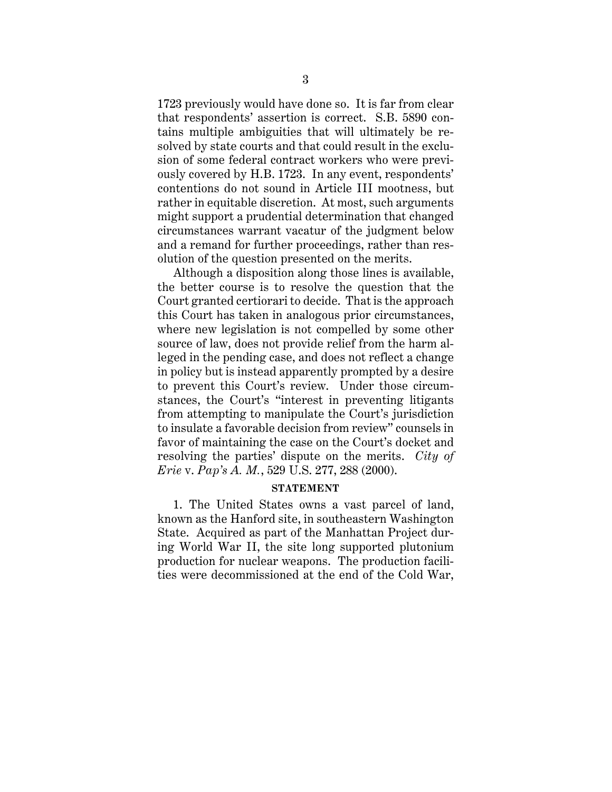1723 previously would have done so. It is far from clear that respondents' assertion is correct. S.B. 5890 contains multiple ambiguities that will ultimately be resolved by state courts and that could result in the exclusion of some federal contract workers who were previously covered by H.B. 1723. In any event, respondents' contentions do not sound in Article III mootness, but rather in equitable discretion. At most, such arguments might support a prudential determination that changed circumstances warrant vacatur of the judgment below and a remand for further proceedings, rather than resolution of the question presented on the merits.

Although a disposition along those lines is available, the better course is to resolve the question that the Court granted certiorari to decide. That is the approach this Court has taken in analogous prior circumstances, where new legislation is not compelled by some other source of law, does not provide relief from the harm alleged in the pending case, and does not reflect a change in policy but is instead apparently prompted by a desire to prevent this Court's review. Under those circumstances, the Court's "interest in preventing litigants from attempting to manipulate the Court's jurisdiction to insulate a favorable decision from review" counsels in favor of maintaining the case on the Court's docket and resolving the parties' dispute on the merits. *City of Erie* v. *Pap's A. M.*, 529 U.S. 277, 288 (2000).

#### **STATEMENT**

1. The United States owns a vast parcel of land, known as the Hanford site, in southeastern Washington State. Acquired as part of the Manhattan Project during World War II, the site long supported plutonium production for nuclear weapons. The production facilities were decommissioned at the end of the Cold War,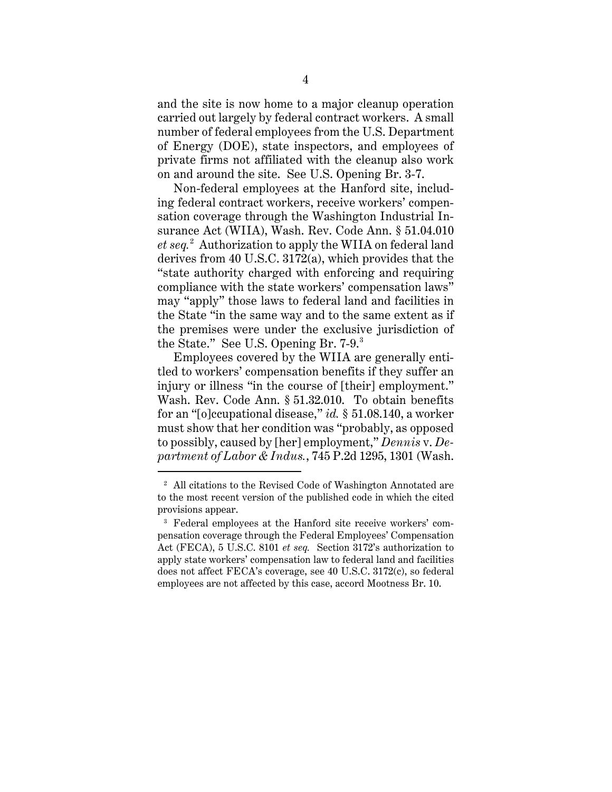and the site is now home to a major cleanup operation carried out largely by federal contract workers. A small number of federal employees from the U.S. Department of Energy (DOE), state inspectors, and employees of private firms not affiliated with the cleanup also work on and around the site. See U.S. Opening Br. 3-7.

Non-federal employees at the Hanford site, including federal contract workers, receive workers' compensation coverage through the Washington Industrial Insurance Act (WIIA), Wash. Rev. Code Ann. § 51.04.010 *et seq.*<sup>2</sup> Authorization to apply the WIIA on federal land derives from 40 U.S.C. 3172(a), which provides that the "state authority charged with enforcing and requiring compliance with the state workers' compensation laws" may "apply" those laws to federal land and facilities in the State "in the same way and to the same extent as if the premises were under the exclusive jurisdiction of the State." See U.S. Opening Br. 7-9.<sup>3</sup>

Employees covered by the WIIA are generally entitled to workers' compensation benefits if they suffer an injury or illness "in the course of [their] employment." Wash. Rev. Code Ann. § 51.32.010. To obtain benefits for an "[o]ccupational disease," *id.* § 51.08.140, a worker must show that her condition was "probably, as opposed to possibly, caused by [her] employment," *Dennis* v. *Department of Labor & Indus.*, 745 P.2d 1295, 1301 (Wash.

<sup>&</sup>lt;sup>2</sup> All citations to the Revised Code of Washington Annotated are to the most recent version of the published code in which the cited provisions appear.

<sup>&</sup>lt;sup>3</sup> Federal employees at the Hanford site receive workers' compensation coverage through the Federal Employees' Compensation Act (FECA), 5 U.S.C. 8101 *et seq.* Section 3172's authorization to apply state workers' compensation law to federal land and facilities does not affect FECA's coverage, see 40 U.S.C. 3172(c), so federal employees are not affected by this case, accord Mootness Br. 10.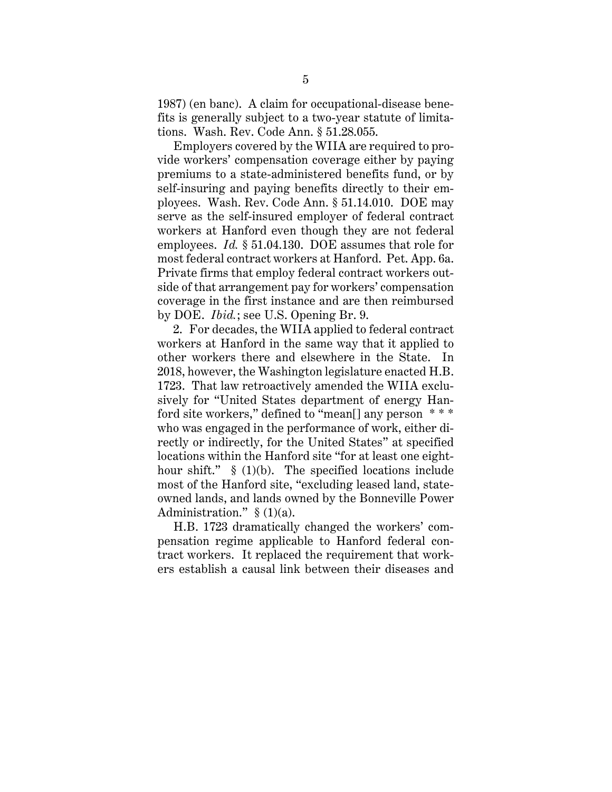1987) (en banc). A claim for occupational-disease benefits is generally subject to a two-year statute of limitations. Wash. Rev. Code Ann. § 51.28.055.

Employers covered by the WIIA are required to provide workers' compensation coverage either by paying premiums to a state-administered benefits fund, or by self-insuring and paying benefits directly to their employees. Wash. Rev. Code Ann. § 51.14.010. DOE may serve as the self-insured employer of federal contract workers at Hanford even though they are not federal employees. *Id.* § 51.04.130. DOE assumes that role for most federal contract workers at Hanford. Pet. App. 6a. Private firms that employ federal contract workers outside of that arrangement pay for workers' compensation coverage in the first instance and are then reimbursed by DOE. *Ibid.*; see U.S. Opening Br. 9.

2. For decades, the WIIA applied to federal contract workers at Hanford in the same way that it applied to other workers there and elsewhere in the State. In 2018, however, the Washington legislature enacted H.B. 1723. That law retroactively amended the WIIA exclusively for "United States department of energy Hanford site workers," defined to "mean[] any person \* \* \* who was engaged in the performance of work, either directly or indirectly, for the United States" at specified locations within the Hanford site "for at least one eighthour shift." § (1)(b). The specified locations include most of the Hanford site, "excluding leased land, stateowned lands, and lands owned by the Bonneville Power Administration."  $\S(1)(a)$ .

H.B. 1723 dramatically changed the workers' compensation regime applicable to Hanford federal contract workers. It replaced the requirement that workers establish a causal link between their diseases and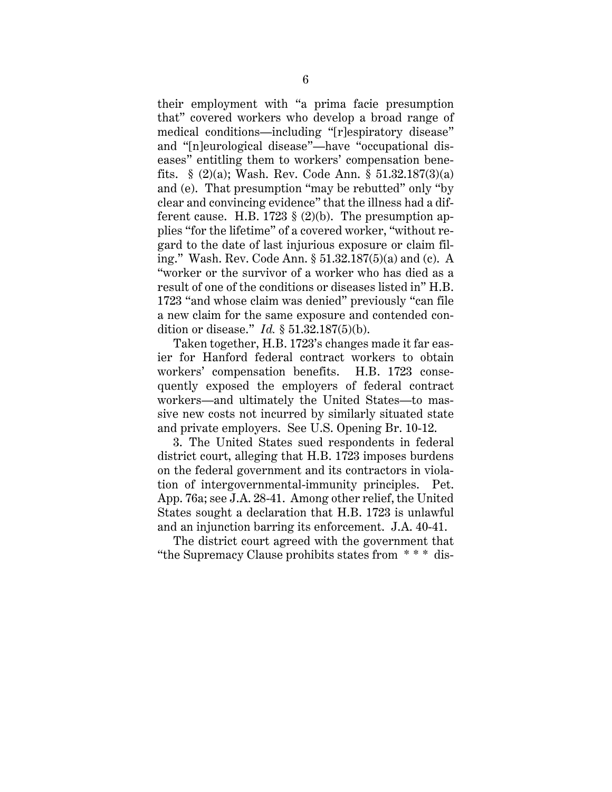their employment with "a prima facie presumption that" covered workers who develop a broad range of medical conditions—including "[r]espiratory disease" and "[n]eurological disease"—have "occupational diseases" entitling them to workers' compensation benefits.  $\S$  (2)(a); Wash. Rev. Code Ann.  $\S$  51.32.187(3)(a) and (e). That presumption "may be rebutted" only "by clear and convincing evidence" that the illness had a different cause. H.B. 1723  $\S$  (2)(b). The presumption applies "for the lifetime" of a covered worker, "without regard to the date of last injurious exposure or claim filing." Wash. Rev. Code Ann. § 51.32.187(5)(a) and (c). A "worker or the survivor of a worker who has died as a result of one of the conditions or diseases listed in" H.B. 1723 "and whose claim was denied" previously "can file a new claim for the same exposure and contended condition or disease." *Id.* § 51.32.187(5)(b).

Taken together, H.B. 1723's changes made it far easier for Hanford federal contract workers to obtain workers' compensation benefits. H.B. 1723 consequently exposed the employers of federal contract workers—and ultimately the United States—to massive new costs not incurred by similarly situated state and private employers. See U.S. Opening Br. 10-12.

3. The United States sued respondents in federal district court, alleging that H.B. 1723 imposes burdens on the federal government and its contractors in violation of intergovernmental-immunity principles. Pet. App. 76a; see J.A. 28-41. Among other relief, the United States sought a declaration that H.B. 1723 is unlawful and an injunction barring its enforcement. J.A. 40-41.

The district court agreed with the government that "the Supremacy Clause prohibits states from \* \* \* dis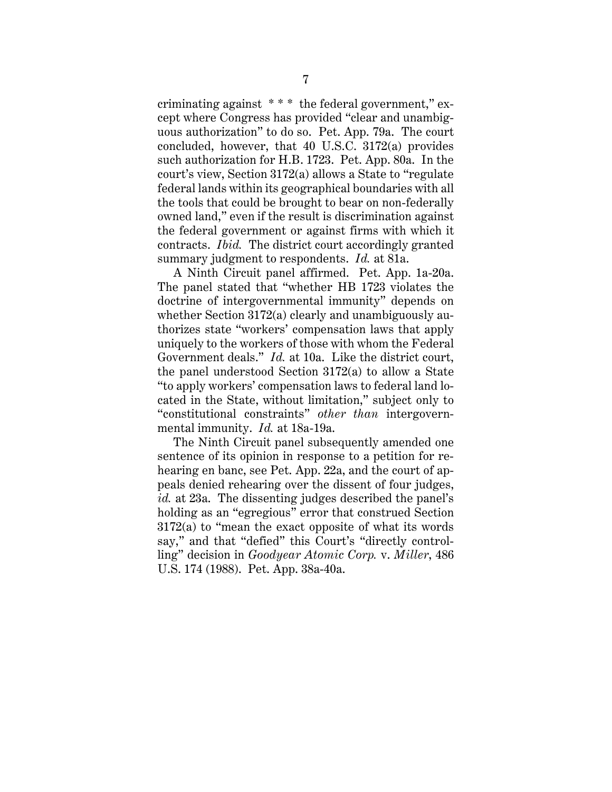criminating against \* \* \* the federal government," except where Congress has provided "clear and unambiguous authorization" to do so. Pet. App. 79a. The court concluded, however, that 40 U.S.C. 3172(a) provides such authorization for H.B. 1723. Pet. App. 80a. In the court's view, Section 3172(a) allows a State to "regulate federal lands within its geographical boundaries with all the tools that could be brought to bear on non-federally owned land," even if the result is discrimination against the federal government or against firms with which it contracts. *Ibid.* The district court accordingly granted summary judgment to respondents. *Id.* at 81a.

A Ninth Circuit panel affirmed. Pet. App. 1a-20a. The panel stated that "whether HB 1723 violates the doctrine of intergovernmental immunity" depends on whether Section 3172(a) clearly and unambiguously authorizes state "workers' compensation laws that apply uniquely to the workers of those with whom the Federal Government deals." *Id.* at 10a. Like the district court, the panel understood Section 3172(a) to allow a State "to apply workers' compensation laws to federal land located in the State, without limitation," subject only to "constitutional constraints" *other than* intergovernmental immunity. *Id.* at 18a-19a.

The Ninth Circuit panel subsequently amended one sentence of its opinion in response to a petition for rehearing en banc, see Pet. App. 22a, and the court of appeals denied rehearing over the dissent of four judges, *id.* at 23a. The dissenting judges described the panel's holding as an "egregious" error that construed Section 3172(a) to "mean the exact opposite of what its words say," and that "defied" this Court's "directly controlling" decision in *Goodyear Atomic Corp.* v. *Miller*, 486 U.S. 174 (1988). Pet. App. 38a-40a.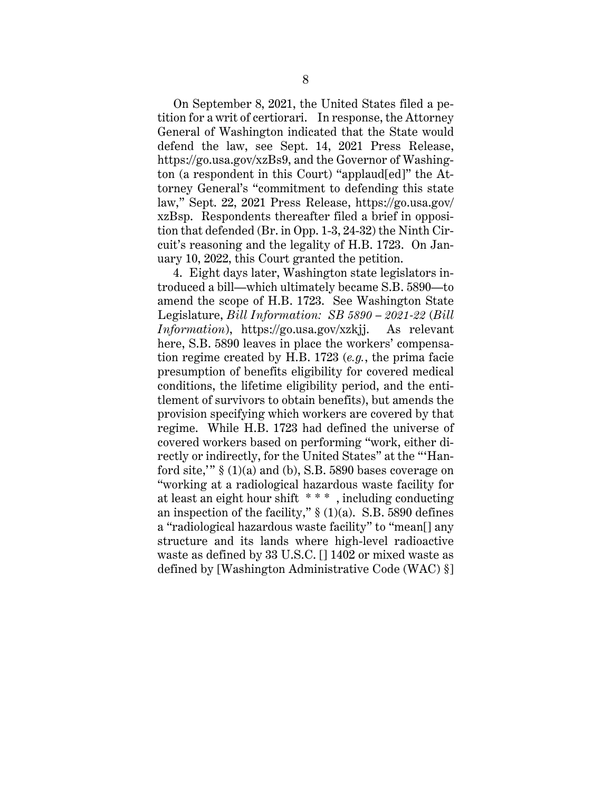On September 8, 2021, the United States filed a petition for a writ of certiorari. In response, the Attorney General of Washington indicated that the State would defend the law, see Sept. 14, 2021 Press Release, https://go.usa.gov/xzBs9, and the Governor of Washington (a respondent in this Court) "applaud[ed]" the Attorney General's "commitment to defending this state law," Sept. 22, 2021 Press Release, https://go.usa.gov/ xzBsp. Respondents thereafter filed a brief in opposition that defended (Br. in Opp. 1-3, 24-32) the Ninth Circuit's reasoning and the legality of H.B. 1723. On January 10, 2022, this Court granted the petition.

4. Eight days later, Washington state legislators introduced a bill—which ultimately became S.B. 5890—to amend the scope of H.B. 1723. See Washington State Legislature, *Bill Information: SB 5890 – 2021-22* (*Bill Information*), https://go.usa.gov/xzkjj. As relevant here, S.B. 5890 leaves in place the workers' compensation regime created by H.B. 1723 (*e.g.*, the prima facie presumption of benefits eligibility for covered medical conditions, the lifetime eligibility period, and the entitlement of survivors to obtain benefits), but amends the provision specifying which workers are covered by that regime. While H.B. 1723 had defined the universe of covered workers based on performing "work, either directly or indirectly, for the United States" at the "'Hanford site,"  $\S(1)(a)$  and (b), S.B. 5890 bases coverage on "working at a radiological hazardous waste facility for at least an eight hour shift \* \* \* , including conducting an inspection of the facility,"  $\S(1)(a)$ . S.B. 5890 defines a "radiological hazardous waste facility" to "mean[] any structure and its lands where high-level radioactive waste as defined by 33 U.S.C. [] 1402 or mixed waste as defined by [Washington Administrative Code (WAC) §]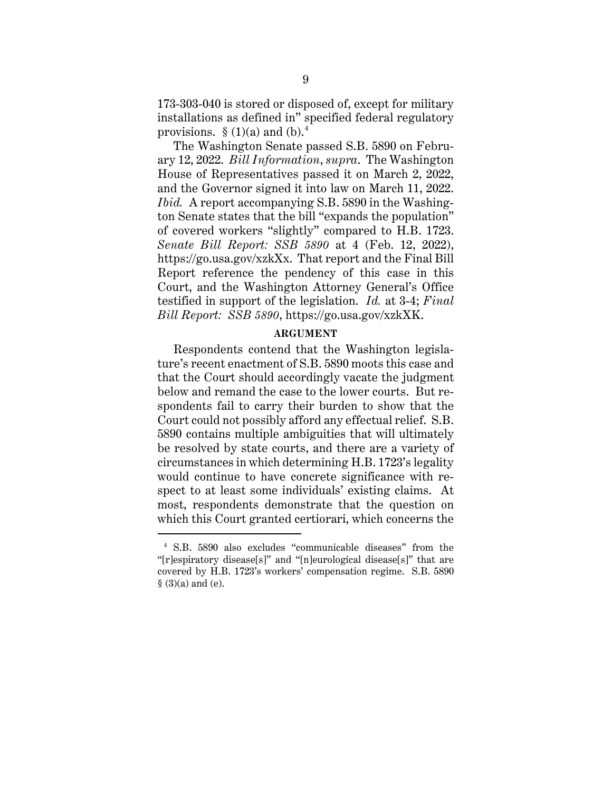173-303-040 is stored or disposed of, except for military installations as defined in" specified federal regulatory provisions.  $\S(1)(a)$  and  $(b)$ .<sup>4</sup>

The Washington Senate passed S.B. 5890 on February 12, 2022. *Bill Information*, *supra*. The Washington House of Representatives passed it on March 2, 2022, and the Governor signed it into law on March 11, 2022. *Ibid.* A report accompanying S.B. 5890 in the Washington Senate states that the bill "expands the population" of covered workers "slightly" compared to H.B. 1723. *Senate Bill Report: SSB 5890* at 4 (Feb. 12, 2022), https://go.usa.gov/xzkXx. That report and the Final Bill Report reference the pendency of this case in this Court, and the Washington Attorney General's Office testified in support of the legislation. *Id.* at 3-4; *Final Bill Report: SSB 5890*, https://go.usa.gov/xzkXK.

#### **ARGUMENT**

Respondents contend that the Washington legislature's recent enactment of S.B. 5890 moots this case and that the Court should accordingly vacate the judgment below and remand the case to the lower courts. But respondents fail to carry their burden to show that the Court could not possibly afford any effectual relief. S.B. 5890 contains multiple ambiguities that will ultimately be resolved by state courts, and there are a variety of circumstances in which determining H.B. 1723's legality would continue to have concrete significance with respect to at least some individuals' existing claims. At most, respondents demonstrate that the question on which this Court granted certiorari, which concerns the

<sup>4</sup> S.B. 5890 also excludes "communicable diseases" from the "[r]espiratory disease[s]" and "[n]eurological disease[s]" that are covered by H.B. 1723's workers' compensation regime. S.B. 5890  $§$  (3)(a) and (e).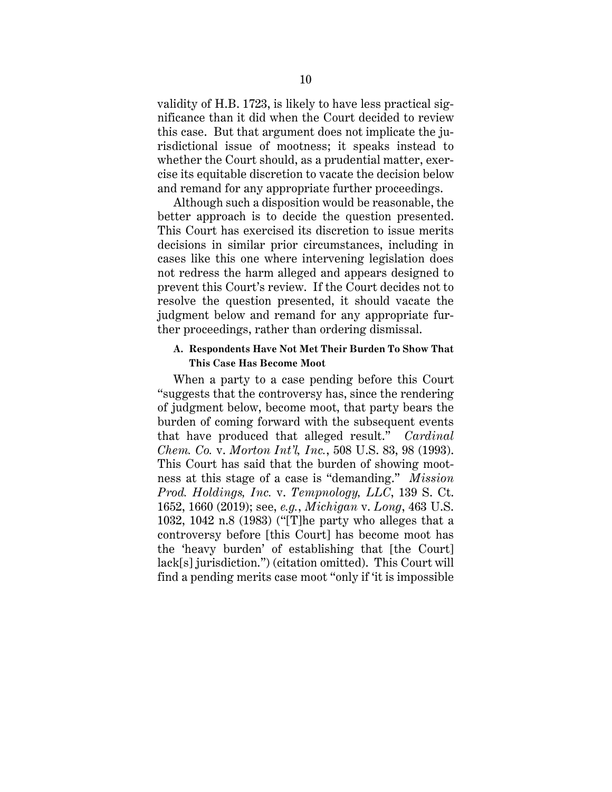validity of H.B. 1723, is likely to have less practical significance than it did when the Court decided to review this case. But that argument does not implicate the jurisdictional issue of mootness; it speaks instead to whether the Court should, as a prudential matter, exercise its equitable discretion to vacate the decision below and remand for any appropriate further proceedings.

Although such a disposition would be reasonable, the better approach is to decide the question presented. This Court has exercised its discretion to issue merits decisions in similar prior circumstances, including in cases like this one where intervening legislation does not redress the harm alleged and appears designed to prevent this Court's review. If the Court decides not to resolve the question presented, it should vacate the judgment below and remand for any appropriate further proceedings, rather than ordering dismissal.

#### **A. Respondents Have Not Met Their Burden To Show That This Case Has Become Moot**

When a party to a case pending before this Court "suggests that the controversy has, since the rendering of judgment below, become moot, that party bears the burden of coming forward with the subsequent events that have produced that alleged result." *Cardinal Chem. Co.* v. *Morton Int'l, Inc.*, 508 U.S. 83, 98 (1993). This Court has said that the burden of showing mootness at this stage of a case is "demanding." *Mission Prod. Holdings, Inc.* v. *Tempnology, LLC*, 139 S. Ct. 1652, 1660 (2019); see, *e.g.*, *Michigan* v. *Long*, 463 U.S. 1032, 1042 n.8 (1983) ("[T]he party who alleges that a controversy before [this Court] has become moot has the 'heavy burden' of establishing that [the Court] lack[s] jurisdiction.") (citation omitted). This Court will find a pending merits case moot "only if 'it is impossible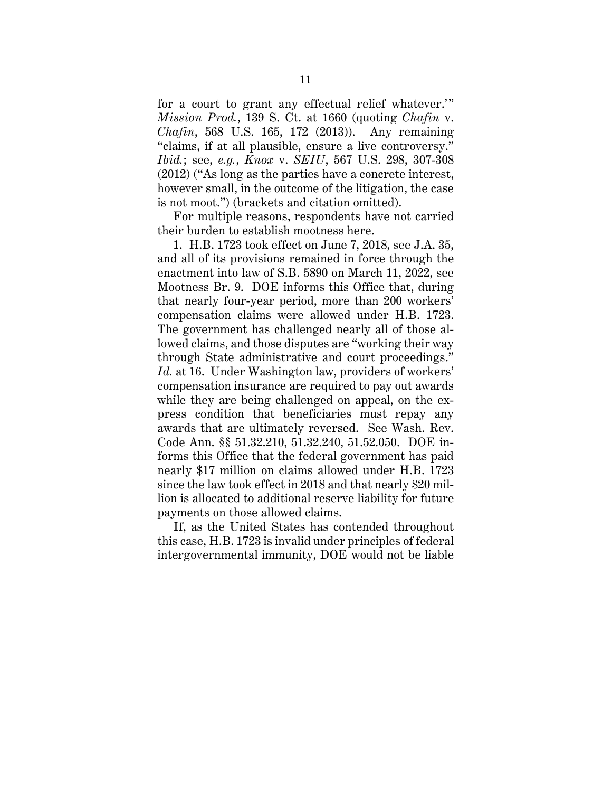for a court to grant any effectual relief whatever.'" *Mission Prod.*, 139 S. Ct. at 1660 (quoting *Chafin* v. *Chafin*, 568 U.S. 165, 172 (2013)). Any remaining "claims, if at all plausible, ensure a live controversy." *Ibid.*; see, *e.g.*, *Knox* v. *SEIU*, 567 U.S. 298, 307-308 (2012) ("As long as the parties have a concrete interest, however small, in the outcome of the litigation, the case is not moot.") (brackets and citation omitted).

For multiple reasons, respondents have not carried their burden to establish mootness here.

1. H.B. 1723 took effect on June 7, 2018, see J.A. 35, and all of its provisions remained in force through the enactment into law of S.B. 5890 on March 11, 2022, see Mootness Br. 9. DOE informs this Office that, during that nearly four-year period, more than 200 workers' compensation claims were allowed under H.B. 1723. The government has challenged nearly all of those allowed claims, and those disputes are "working their way through State administrative and court proceedings." *Id.* at 16. Under Washington law, providers of workers' compensation insurance are required to pay out awards while they are being challenged on appeal, on the express condition that beneficiaries must repay any awards that are ultimately reversed. See Wash. Rev. Code Ann. §§ 51.32.210, 51.32.240, 51.52.050. DOE informs this Office that the federal government has paid nearly \$17 million on claims allowed under H.B. 1723 since the law took effect in 2018 and that nearly \$20 million is allocated to additional reserve liability for future payments on those allowed claims.

If, as the United States has contended throughout this case, H.B. 1723 is invalid under principles of federal intergovernmental immunity, DOE would not be liable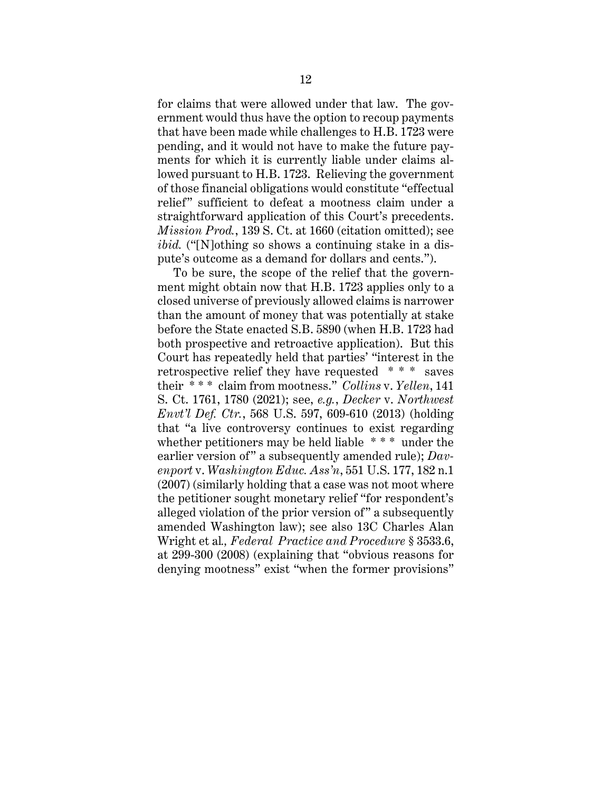for claims that were allowed under that law. The government would thus have the option to recoup payments that have been made while challenges to H.B. 1723 were pending, and it would not have to make the future payments for which it is currently liable under claims allowed pursuant to H.B. 1723. Relieving the government of those financial obligations would constitute "effectual relief" sufficient to defeat a mootness claim under a straightforward application of this Court's precedents. *Mission Prod.*, 139 S. Ct. at 1660 (citation omitted); see *ibid.* ("[N]othing so shows a continuing stake in a dispute's outcome as a demand for dollars and cents.").

To be sure, the scope of the relief that the government might obtain now that H.B. 1723 applies only to a closed universe of previously allowed claims is narrower than the amount of money that was potentially at stake before the State enacted S.B. 5890 (when H.B. 1723 had both prospective and retroactive application). But this Court has repeatedly held that parties' "interest in the retrospective relief they have requested \* \* \* saves their \* \* \* claim from mootness." *Collins* v. *Yellen*, 141 S. Ct. 1761, 1780 (2021); see, *e.g.*, *Decker* v. *Northwest Envt'l Def. Ctr.*, 568 U.S. 597, 609-610 (2013) (holding that "a live controversy continues to exist regarding whether petitioners may be held liable  $***$  under the earlier version of" a subsequently amended rule); *Davenport* v. *Washington Educ. Ass'n*, 551 U.S. 177, 182 n.1 (2007) (similarly holding that a case was not moot where the petitioner sought monetary relief "for respondent's alleged violation of the prior version of" a subsequently amended Washington law); see also 13C Charles Alan Wright et al*., Federal Practice and Procedure* § 3533.6, at 299-300 (2008) (explaining that "obvious reasons for denying mootness" exist "when the former provisions"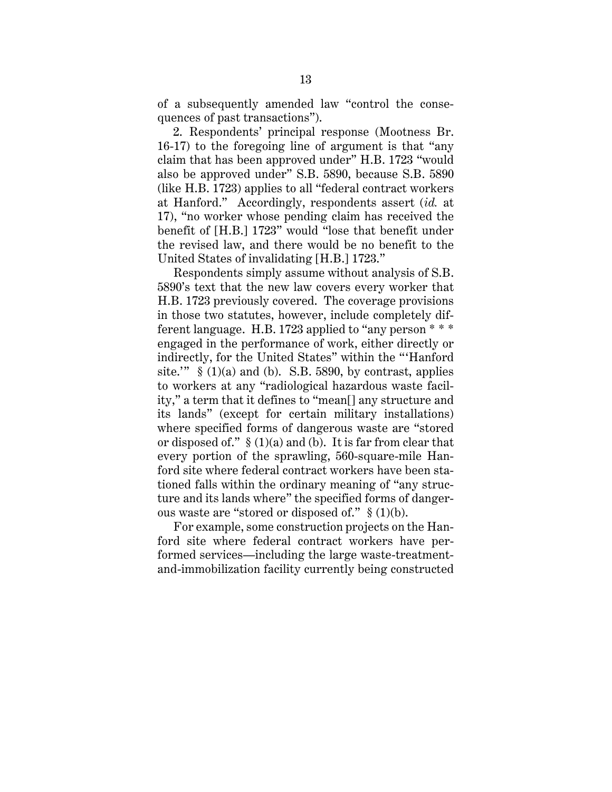of a subsequently amended law "control the consequences of past transactions").

2. Respondents' principal response (Mootness Br. 16-17) to the foregoing line of argument is that "any claim that has been approved under" H.B. 1723 "would also be approved under" S.B. 5890, because S.B. 5890 (like H.B. 1723) applies to all "federal contract workers at Hanford." Accordingly, respondents assert (*id.* at 17), "no worker whose pending claim has received the benefit of [H.B.] 1723" would "lose that benefit under the revised law, and there would be no benefit to the United States of invalidating [H.B.] 1723."

Respondents simply assume without analysis of S.B. 5890's text that the new law covers every worker that H.B. 1723 previously covered. The coverage provisions in those two statutes, however, include completely different language. H.B. 1723 applied to "any person \* \* \* engaged in the performance of work, either directly or indirectly, for the United States" within the "'Hanford site.'"  $\S(1)(a)$  and (b). S.B. 5890, by contrast, applies to workers at any "radiological hazardous waste facility," a term that it defines to "mean[] any structure and its lands" (except for certain military installations) where specified forms of dangerous waste are "stored or disposed of."  $\S(1)(a)$  and (b). It is far from clear that every portion of the sprawling, 560-square-mile Hanford site where federal contract workers have been stationed falls within the ordinary meaning of "any structure and its lands where" the specified forms of dangerous waste are "stored or disposed of." § (1)(b).

For example, some construction projects on the Hanford site where federal contract workers have performed services—including the large waste-treatmentand-immobilization facility currently being constructed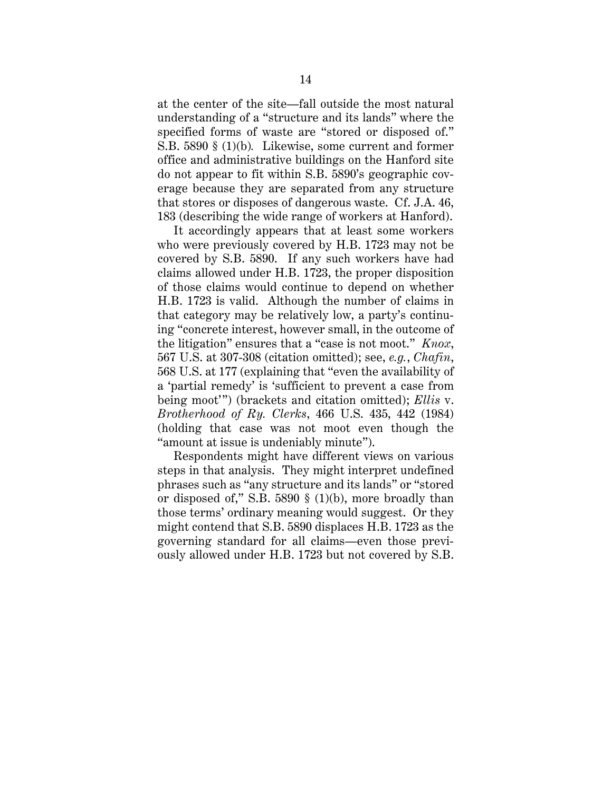at the center of the site—fall outside the most natural understanding of a "structure and its lands" where the specified forms of waste are "stored or disposed of." S.B. 5890 § (1)(b)*.* Likewise, some current and former office and administrative buildings on the Hanford site do not appear to fit within S.B. 5890's geographic coverage because they are separated from any structure that stores or disposes of dangerous waste. Cf. J.A. 46, 183 (describing the wide range of workers at Hanford).

It accordingly appears that at least some workers who were previously covered by H.B. 1723 may not be covered by S.B. 5890. If any such workers have had claims allowed under H.B. 1723, the proper disposition of those claims would continue to depend on whether H.B. 1723 is valid. Although the number of claims in that category may be relatively low, a party's continuing "concrete interest, however small, in the outcome of the litigation" ensures that a "case is not moot." *Knox*, 567 U.S. at 307-308 (citation omitted); see, *e.g.*, *Chafin*, 568 U.S. at 177 (explaining that "even the availability of a 'partial remedy' is 'sufficient to prevent a case from being moot'") (brackets and citation omitted); *Ellis* v. *Brotherhood of Ry. Clerks*, 466 U.S. 435, 442 (1984) (holding that case was not moot even though the "amount at issue is undeniably minute").

Respondents might have different views on various steps in that analysis. They might interpret undefined phrases such as "any structure and its lands" or "stored or disposed of," S.B. 5890 § (1)(b), more broadly than those terms' ordinary meaning would suggest. Or they might contend that S.B. 5890 displaces H.B. 1723 as the governing standard for all claims—even those previously allowed under H.B. 1723 but not covered by S.B.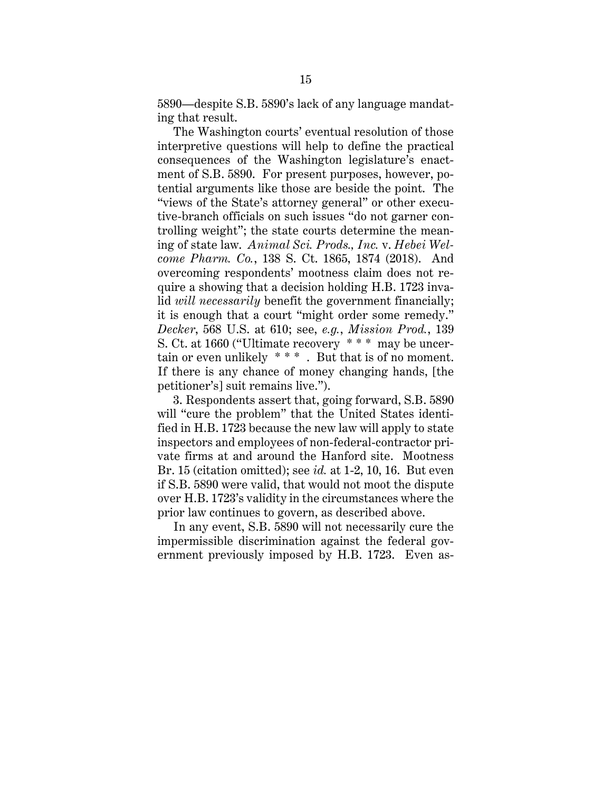5890—despite S.B. 5890's lack of any language mandating that result.

The Washington courts' eventual resolution of those interpretive questions will help to define the practical consequences of the Washington legislature's enactment of S.B. 5890. For present purposes, however, potential arguments like those are beside the point. The "views of the State's attorney general" or other executive-branch officials on such issues "do not garner controlling weight"; the state courts determine the meaning of state law. *Animal Sci. Prods., Inc.* v. *Hebei Welcome Pharm. Co.*, 138 S. Ct. 1865, 1874 (2018). And overcoming respondents' mootness claim does not require a showing that a decision holding H.B. 1723 invalid *will necessarily* benefit the government financially; it is enough that a court "might order some remedy." *Decker*, 568 U.S. at 610; see, *e.g.*, *Mission Prod.*, 139 S. Ct. at 1660 ("Ultimate recovery \* \* \* may be uncertain or even unlikely \* \* \* . But that is of no moment. If there is any chance of money changing hands, [the petitioner's] suit remains live.").

 3. Respondents assert that, going forward, S.B. 5890 will "cure the problem" that the United States identified in H.B. 1723 because the new law will apply to state inspectors and employees of non-federal-contractor private firms at and around the Hanford site. Mootness Br. 15 (citation omitted); see *id.* at 1-2, 10, 16. But even if S.B. 5890 were valid, that would not moot the dispute over H.B. 1723's validity in the circumstances where the prior law continues to govern, as described above.

In any event, S.B. 5890 will not necessarily cure the impermissible discrimination against the federal government previously imposed by H.B. 1723. Even as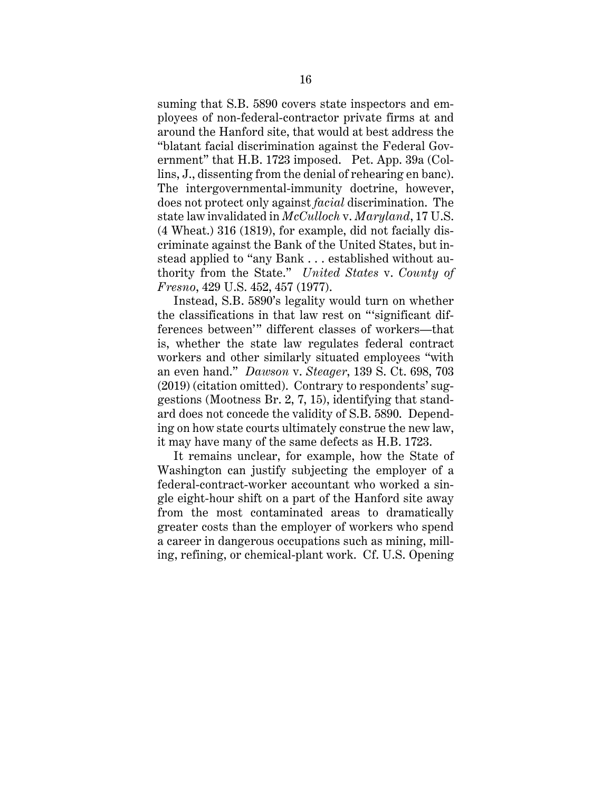suming that S.B. 5890 covers state inspectors and employees of non-federal-contractor private firms at and around the Hanford site, that would at best address the "blatant facial discrimination against the Federal Government" that H.B. 1723 imposed. Pet. App. 39a (Collins, J., dissenting from the denial of rehearing en banc). The intergovernmental-immunity doctrine, however, does not protect only against *facial* discrimination. The state law invalidated in *McCulloch* v. *Maryland*, 17 U.S. (4 Wheat.) 316 (1819), for example, did not facially discriminate against the Bank of the United States, but instead applied to "any Bank . . . established without authority from the State." *United States* v. *County of Fresno*, 429 U.S. 452, 457 (1977).

Instead, S.B. 5890's legality would turn on whether the classifications in that law rest on "'significant differences between'" different classes of workers—that is, whether the state law regulates federal contract workers and other similarly situated employees "with an even hand." *Dawson* v. *Steager*, 139 S. Ct. 698, 703 (2019) (citation omitted). Contrary to respondents' suggestions (Mootness Br. 2, 7, 15), identifying that standard does not concede the validity of S.B. 5890. Depending on how state courts ultimately construe the new law, it may have many of the same defects as H.B. 1723.

It remains unclear, for example, how the State of Washington can justify subjecting the employer of a federal-contract-worker accountant who worked a single eight-hour shift on a part of the Hanford site away from the most contaminated areas to dramatically greater costs than the employer of workers who spend a career in dangerous occupations such as mining, milling, refining, or chemical-plant work. Cf. U.S. Opening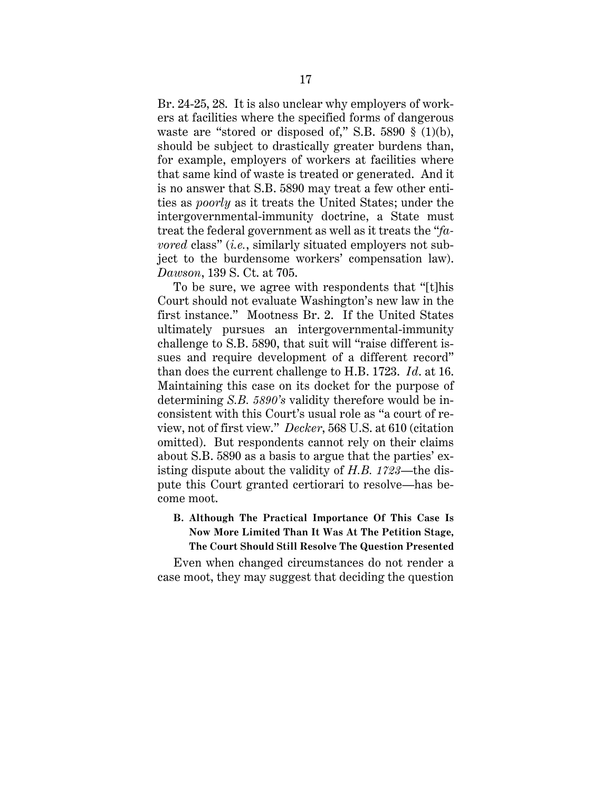Br. 24-25, 28. It is also unclear why employers of workers at facilities where the specified forms of dangerous waste are "stored or disposed of," S.B.  $5890 \text{ } \frac{6}{5}$  (1)(b), should be subject to drastically greater burdens than, for example, employers of workers at facilities where that same kind of waste is treated or generated. And it is no answer that S.B. 5890 may treat a few other entities as *poorly* as it treats the United States; under the intergovernmental-immunity doctrine, a State must treat the federal government as well as it treats the "*favored* class" (*i.e.*, similarly situated employers not subject to the burdensome workers' compensation law). *Dawson*, 139 S. Ct. at 705.

To be sure, we agree with respondents that "[t]his Court should not evaluate Washington's new law in the first instance." Mootness Br. 2. If the United States ultimately pursues an intergovernmental-immunity challenge to S.B. 5890, that suit will "raise different issues and require development of a different record" than does the current challenge to H.B. 1723. *Id*. at 16. Maintaining this case on its docket for the purpose of determining *S.B. 5890's* validity therefore would be inconsistent with this Court's usual role as "a court of review, not of first view." *Decker*, 568 U.S. at 610 (citation omitted). But respondents cannot rely on their claims about S.B. 5890 as a basis to argue that the parties' existing dispute about the validity of *H.B. 1723*—the dispute this Court granted certiorari to resolve—has become moot.

### **B. Although The Practical Importance Of This Case Is Now More Limited Than It Was At The Petition Stage, The Court Should Still Resolve The Question Presented**

Even when changed circumstances do not render a case moot, they may suggest that deciding the question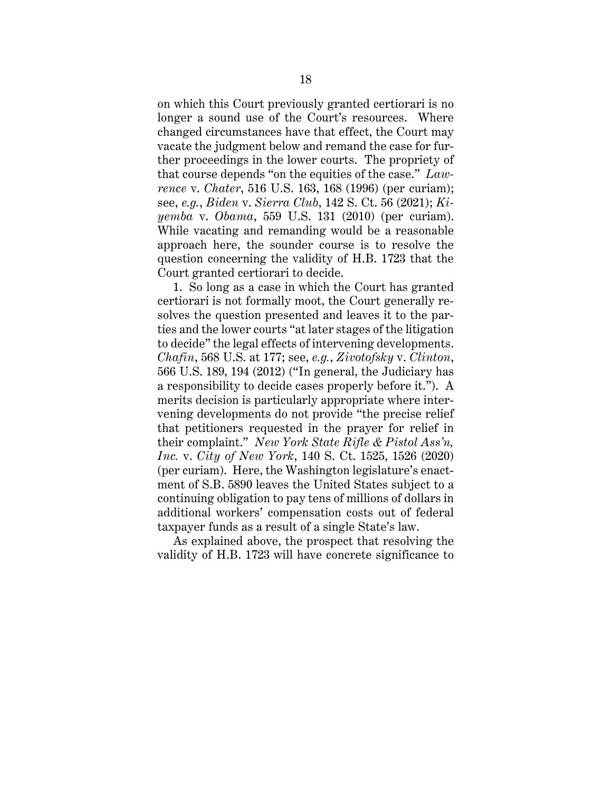on which this Court previously granted certiorari is no longer a sound use of the Court's resources. Where changed circumstances have that effect, the Court may vacate the judgment below and remand the case for further proceedings in the lower courts. The propriety of that course depends "on the equities of the case." *Lawrence* v. *Chater*, 516 U.S. 163, 168 (1996) (per curiam); see, *e.g.*, *Biden* v. *Sierra Club*, 142 S. Ct. 56 (2021); *Kiyemba* v. *Obama*, 559 U.S. 131 (2010) (per curiam). While vacating and remanding would be a reasonable approach here, the sounder course is to resolve the question concerning the validity of H.B. 1723 that the Court granted certiorari to decide.

1. So long as a case in which the Court has granted certiorari is not formally moot, the Court generally resolves the question presented and leaves it to the parties and the lower courts "at later stages of the litigation to decide" the legal effects of intervening developments. *Chafin*, 568 U.S. at 177; see, *e.g.*, *Zivotofsky* v. *Clinton*, 566 U.S. 189, 194 (2012) ("In general, the Judiciary has a responsibility to decide cases properly before it."). A merits decision is particularly appropriate where intervening developments do not provide "the precise relief that petitioners requested in the prayer for relief in their complaint." *New York State Rifle & Pistol Ass'n, Inc.* v. *City of New York*, 140 S. Ct. 1525, 1526 (2020) (per curiam). Here, the Washington legislature's enactment of S.B. 5890 leaves the United States subject to a continuing obligation to pay tens of millions of dollars in additional workers' compensation costs out of federal taxpayer funds as a result of a single State's law.

As explained above, the prospect that resolving the validity of H.B. 1723 will have concrete significance to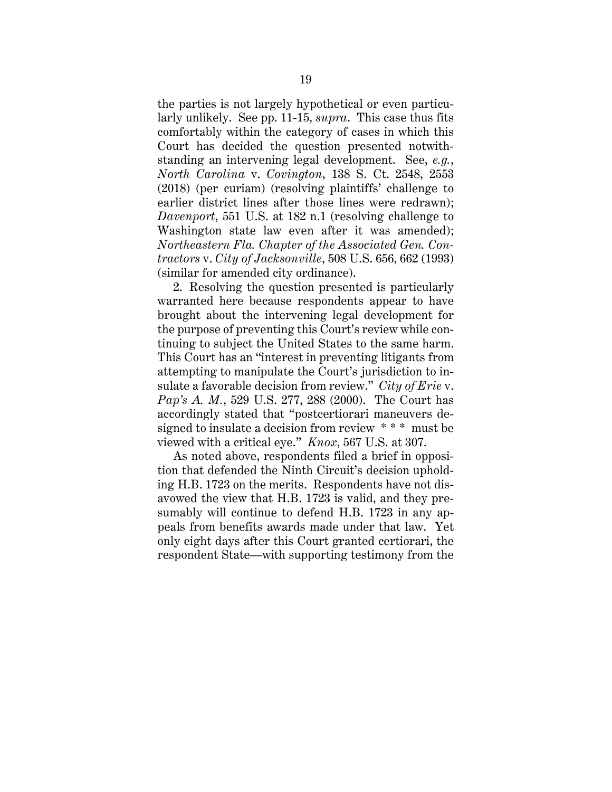the parties is not largely hypothetical or even particularly unlikely. See pp. 11-15, *supra*. This case thus fits comfortably within the category of cases in which this Court has decided the question presented notwithstanding an intervening legal development. See, *e.g.*, *North Carolina* v. *Covington*, 138 S. Ct. 2548, 2553 (2018) (per curiam) (resolving plaintiffs' challenge to earlier district lines after those lines were redrawn); *Davenport*, 551 U.S. at 182 n.1 (resolving challenge to Washington state law even after it was amended); *Northeastern Fla. Chapter of the Associated Gen. Contractors* v. *City of Jacksonville*, 508 U.S. 656, 662 (1993) (similar for amended city ordinance).

2. Resolving the question presented is particularly warranted here because respondents appear to have brought about the intervening legal development for the purpose of preventing this Court's review while continuing to subject the United States to the same harm. This Court has an "interest in preventing litigants from attempting to manipulate the Court's jurisdiction to insulate a favorable decision from review." *City of Erie* v. *Pap's A. M.*, 529 U.S. 277, 288 (2000). The Court has accordingly stated that "postcertiorari maneuvers designed to insulate a decision from review \* \* \* must be viewed with a critical eye." *Knox*, 567 U.S. at 307.

As noted above, respondents filed a brief in opposition that defended the Ninth Circuit's decision upholding H.B. 1723 on the merits. Respondents have not disavowed the view that H.B. 1723 is valid, and they presumably will continue to defend H.B. 1723 in any appeals from benefits awards made under that law. Yet only eight days after this Court granted certiorari, the respondent State—with supporting testimony from the